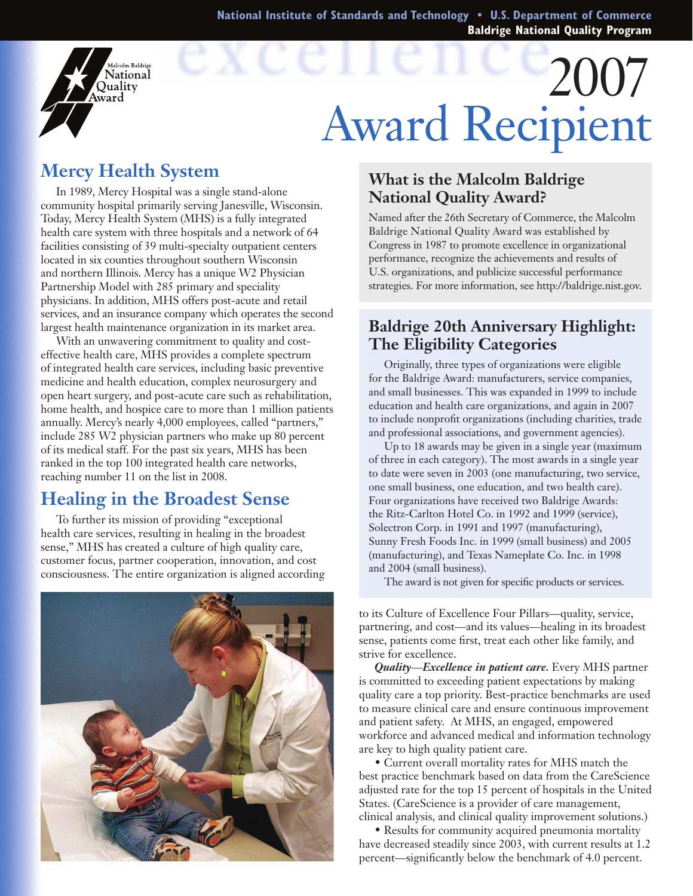**National Institute of Standards and Technology • U.S. Department of Commerce Baldrige National Quality Program**

# 2007 Award Recipient

## **Mercy Health System**

dcolm Baldrige **National** Ouality ward

In 1989, Mercy Hospital was a single stand-alone community hospital primarily serving Janesville, Wisconsin. Today, Mercy Health System (MHS) is a fully integrated health care system with three hospitals and a network of 64 facilities consisting of 39 multi-specialty outpatient centers located in six counties throughout southern Wisconsin and northern Illinois. Mercy has a unique W2 Physician Partnership Model with 285 primary and speciality physicians. In addition, MHS offers post-acute and retail services, and an insurance company which operates the second largest health maintenance organization in its market area.

With an unwavering commitment to quality and costeffective health care, MHS provides a complete spectrum of integrated health care services, including basic preventive medicine and health education, complex neurosurgery and open heart surgery, and post-acute care such as rehabilitation, home health, and hospice care to more than 1 million patients annually. Mercy's nearly 4,000 employees, called "partners," include 285 W2 physician partners who make up 80 percent of its medical staff. For the past six years, MHS has been ranked in the top 100 integrated health care networks, reaching number 11 on the list in 2008.

### **Healing in the Broadest Sense**

To further its mission of providing "exceptional health care services, resulting in healing in the broadest sense," MHS has created a culture of high quality care, customer focus, partner cooperation, innovation, and cost consciousness. The entire organization is aligned according



#### **What is the Malcolm Baldrige National Quality Award?**

Named after the 26th Secretary of Commerce, the Malcolm Baldrige National Quality Award was established by Congress in 1987 to promote excellence in organizational performance, recognize the achievements and results of U.S. organizations, and publicize successful performance strategies. For more information, see http://baldrige.nist.gov.

#### **Baldrige 20th Anniversary Highlight: The Eligibility Categories**

Originally, three types of organizations were eligible for the Baldrige Award: manufacturers, service companies, and small businesses. This was expanded in 1999 to include education and health care organizations, and again in 2007 to include nonprofit organizations (including charities, trade and professional associations, and government agencies).

Up to 18 awards may be given in a single year (maximum of three in each category). The most awards in a single year to date were seven in 2003 (one manufacturing, two service, one small business, one education, and two health care). Four organizations have received two Baldrige Awards: the Ritz-Carlton Hotel Co. in 1992 and 1999 (service), Solectron Corp. in 1991 and 1997 (manufacturing), Sunny Fresh Foods Inc. in 1999 (small business) and 2005 (manufacturing), and Texas Nameplate Co. Inc. in 1998 and 2004 (small business).

The award is not given for specific products or services.

to its Culture of Excellence Four Pillars—quality, service, partnering, and cost—and its values—healing in its broadest sense, patients come first, treat each other like family, and strive for excellence.

*Quality*—*Excellence in patient care.* Every MHS partner is committed to exceeding patient expectations by making quality care a top priority. Best-practice benchmarks are used to measure clinical care and ensure continuous improvement and patient safety. At MHS, an engaged, empowered workforce and advanced medical and information technology are key to high quality patient care.

 • Current overall mortality rates for MHS match the best practice benchmark based on data from the CareScience adjusted rate for the top 15 percent of hospitals in the United States. (CareScience is a provider of care management, clinical analysis, and clinical quality improvement solutions.)

• Results for community acquired pneumonia mortality have decreased steadily since 2003, with current results at 1.2 percent—significantly below the benchmark of 4.0 percent.